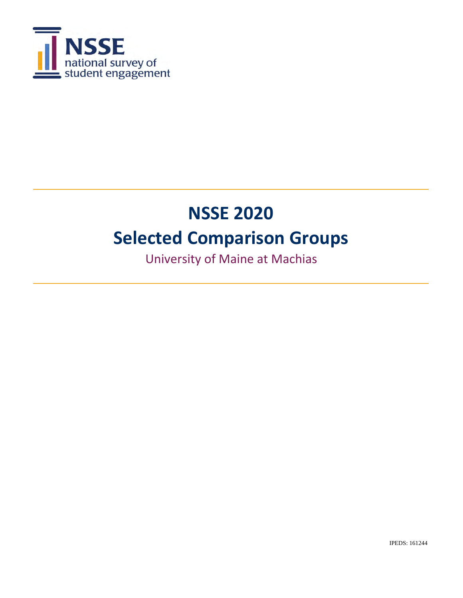

# **NSSE 2020 Selected Comparison Groups**

University of Maine at Machias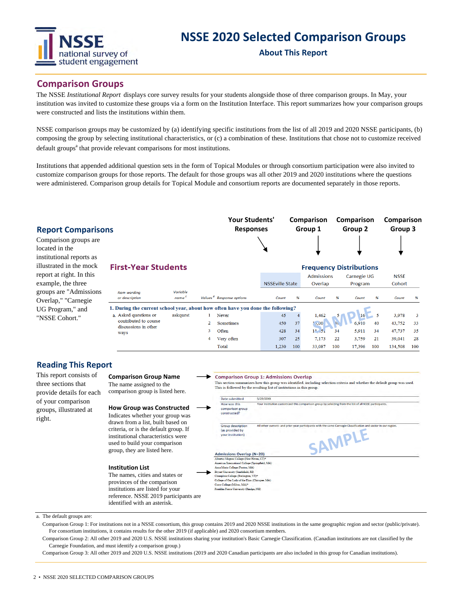

## **NSSE 2020 Selected Comparison Groups**

**About This Report**

## **Comparison Groups**

The NSSE *Institutional Report* displays core survey results for your students alongside those of three comparison groups. In May, your institution was invited to customize these groups via a form on the Institution Interface. This report summarizes how your comparison groups were constructed and lists the institutions within them.

NSSE comparison groups may be customized by (a) identifying specific institutions from the list of all 2019 and 2020 NSSE participants, (b) composing the group by selecting institutional characteristics, or (c) a combination of these. Institutions that chose not to customize received default groups<sup>a</sup> that provide relevant comparisons for most institutions.

Institutions that appended additional question sets in the form of Topical Modules or through consortium participation were also invited to customize comparison groups for those reports. The default for those groups was all other 2019 and 2020 institutions where the questions were administered. Comparison group details for Topical Module and consortium reports are documented separately in those reports.

| <b>Report Comparisons</b>                                           |                                                                                 |                               |   | <b>Your Students'</b><br><b>Responses</b> |                        |     | Comparison<br>Group 1                               |     | Comparison<br>Group 2 |     | Comparison<br>Group 3 |     |
|---------------------------------------------------------------------|---------------------------------------------------------------------------------|-------------------------------|---|-------------------------------------------|------------------------|-----|-----------------------------------------------------|-----|-----------------------|-----|-----------------------|-----|
| Comparison groups are<br>located in the<br>institutional reports as |                                                                                 |                               |   |                                           |                        |     |                                                     |     |                       |     |                       |     |
| illustrated in the mock<br>report at right. In this                 | <b>First-Year Students</b>                                                      |                               |   |                                           |                        |     | <b>Frequency Distributions</b><br><b>Admissions</b> |     | Carnegie UG           |     | <b>NSSE</b>           |     |
| example, the three                                                  |                                                                                 |                               |   |                                           | <b>NSSEville State</b> |     | Overlap                                             |     | Program               |     | Cohort                |     |
| groups are "Admissions"<br>Overlap," "Carnegie                      | Item wordina<br>or description                                                  | Variable<br>name <sup>c</sup> |   | Values <sup>d</sup> Response options      | Count                  | %   | Count                                               | %   | Count                 | %   | Count                 | %   |
| UG Program," and                                                    | 1. During the current school year, about how often have you done the following? |                               |   |                                           |                        |     |                                                     |     |                       |     |                       |     |
| "NSSE Cohort."                                                      | a. Asked questions or                                                           | askquest                      |   | Never                                     | 45                     |     | 1,462                                               |     | 16                    |     | 3,978                 | 3   |
|                                                                     | contributed to course                                                           |                               |   | <b>Sometimes</b>                          | 450                    | 37  | ,00                                                 | 35  | 6.910                 | 40  | 43,752                | 33  |
|                                                                     | discussions in other<br>ways                                                    |                               | 3 | Often                                     | 428                    | 34  | $1^{13}$ .5.                                        | 34  | 5,911                 | 34  | 47,737                | 35  |
|                                                                     |                                                                                 |                               |   | Very often                                | 307                    | 25  | 7,173                                               | 22  | 3,759                 | 21  | 39,041                | 28  |
|                                                                     |                                                                                 |                               |   | Total                                     | 1,230                  | 100 | 33,087                                              | 100 | 17,396                | 100 | 134,508               | 100 |

## **Reading This Report**

This report consists of three sections that provide details for each of your comparison groups, illustrated at right.

## **Comparison Group Name**

The name assigned to the comparison group is listed here.

## **How Group was Construd**

Indicates whether your group drawn from a list, built based criteria, or is the default group. institutional characteristics v used to build your compariso group, they are listed here.

#### **Institution List**

The names, cities and states provinces of the comparison institutions are listed for you reference. NSSE 2019 partic identified with an asterisk.

|                                                                  | Date submitted<br>5/29/20XX                      |                                                                                                                          |
|------------------------------------------------------------------|--------------------------------------------------|--------------------------------------------------------------------------------------------------------------------------|
| How was this<br>comparison group<br>constructed?                 |                                                  | Your institution customized this comparison group by selecting from the list of all NSSE participants.                   |
| <b>Group description</b><br>(as provided by<br>your institution) |                                                  | All other current- and prior-year participants with the same Carnegie Classification and sector in our region.<br>SAMPLE |
|                                                                  | <b>Admissions Overlap (N=20)</b>                 |                                                                                                                          |
|                                                                  | Albertus Magnus College (New Haven, CT)*         |                                                                                                                          |
|                                                                  | American International College (Springfield, MA) |                                                                                                                          |
| Anna Maria College (Paxton, MA)                                  |                                                  |                                                                                                                          |
|                                                                  |                                                  |                                                                                                                          |
| Bryant University (Smithfield, RI)                               |                                                  |                                                                                                                          |
|                                                                  | Champlain College (Burlington, VT)*              |                                                                                                                          |
| Curry College (Milton, MA)*                                      | College of Our Lady of the Elms (Chicopee, MA)   |                                                                                                                          |

a. The default groups are:

Comparison Group 1: For institutions not in a NSSE consortium, this group contains 2019 and 2020 NSSE institutions in the same geographic region and sector (public/private). For consortium institutions, it contains results for the other 2019 (if applicable) and 2020 consortium members.

Comparison Group 2: All other 2019 and 2020 U.S. NSSE institutions sharing your institution's Basic Carnegie Classification. (Canadian institutions are not classified by the Carnegie Foundation, and must identify a comparison group.)

Comparison Group 3: All other 2019 and 2020 U.S. NSSE institutions (2019 and 2020 Canadian participants are also included in this group for Canadian institutions).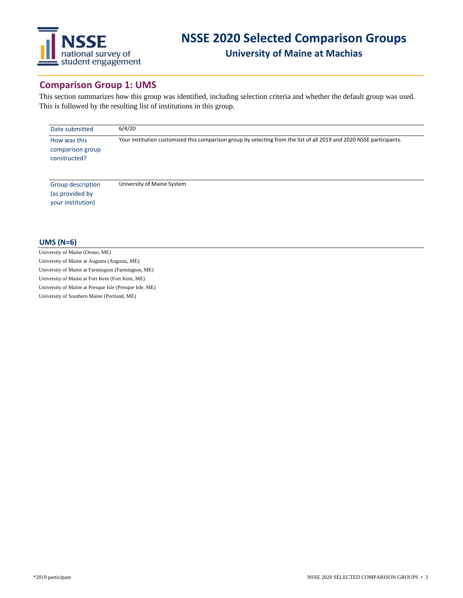

## **Comparison Group 1: UMS**

This section summarizes how this group was identified, including selection criteria and whether the default group was used. This is followed by the resulting list of institutions in this group.

| Date submitted                                            | 6/4/20                                                                                                               |  |  |  |  |
|-----------------------------------------------------------|----------------------------------------------------------------------------------------------------------------------|--|--|--|--|
| How was this<br>comparison group<br>constructed?          | Your institution customized this comparison group by selecting from the list of all 2019 and 2020 NSSE participants. |  |  |  |  |
| Group description<br>(as provided by<br>your institution) | University of Maine System                                                                                           |  |  |  |  |

#### **UMS (N=6)**

University of Maine (Orono, ME) University of Maine at Augusta (Augusta, ME) University of Maine at Farmington (Farmington, ME) University of Maine at Fort Kent (Fort Kent, ME) University of Maine at Presque Isle (Presque Isle, ME) University of Southern Maine (Portland, ME)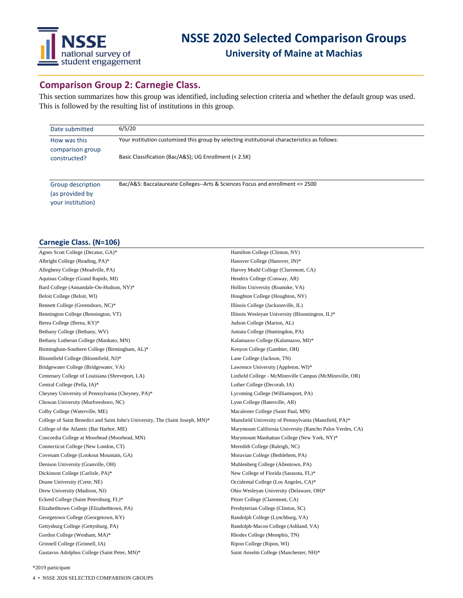

## **Comparison Group 2: Carnegie Class.**

This section summarizes how this group was identified, including selection criteria and whether the default group was used. This is followed by the resulting list of institutions in this group.

| Date submitted                                            | 6/5/20                                                                                        |
|-----------------------------------------------------------|-----------------------------------------------------------------------------------------------|
| How was this<br>comparison group                          | Your institution customized this group by selecting institutional characteristics as follows: |
| constructed?                                              | Basic Classification (Bac/A&S); UG Enrollment (< 2.5K)                                        |
| Group description<br>(as provided by<br>your institution) | Bac/A&S: Baccalaureate Colleges--Arts & Sciences Focus and enrollment <= 2500                 |

## **Carnegie Class. (N=106)**

| Agnes Scott College (Decatur, GA)*                                             | Hamilton College (Clinton, NY)                            |
|--------------------------------------------------------------------------------|-----------------------------------------------------------|
| Albright College (Reading, PA)*                                                | Hanover College (Hanover, IN)*                            |
| Allegheny College (Meadville, PA)                                              | Harvey Mudd College (Claremont, CA)                       |
| Aquinas College (Grand Rapids, MI)                                             | Hendrix College (Conway, AR)                              |
| Bard College (Annandale-On-Hudson, NY)*                                        | Hollins University (Roanoke, VA)                          |
| Beloit College (Beloit, WI)                                                    | Houghton College (Houghton, NY)                           |
| Bennett College (Greensboro, NC)*                                              | Illinois College (Jacksonville, IL)                       |
| Bennington College (Bennington, VT)                                            | Illinois Wesleyan University (Bloomington, IL)*           |
| Berea College (Berea, KY)*                                                     | Judson College (Marion, AL)                               |
| Bethany College (Bethany, WV)                                                  | Juniata College (Huntingdon, PA)                          |
| Bethany Lutheran College (Mankato, MN)                                         | Kalamazoo College (Kalamazoo, MI)*                        |
| Birmingham-Southern College (Birmingham, AL)*                                  | Kenyon College (Gambier, OH)                              |
| Bloomfield College (Bloomfield, NJ)*                                           | Lane College (Jackson, TN)                                |
| Bridgewater College (Bridgewater, VA)                                          | Lawrence University (Appleton, WI)*                       |
| Centenary College of Louisiana (Shreveport, LA)                                | Linfield College - McMinnville Campus (McMinnville, OR)   |
| Central College (Pella, IA)*                                                   | Luther College (Decorah, IA)                              |
| Cheyney University of Pennsylvania (Cheyney, PA)*                              | Lycoming College (Williamsport, PA)                       |
| Chowan University (Murfreesboro, NC)                                           | Lyon College (Batesville, AR)                             |
| Colby College (Waterville, ME)                                                 | Macalester College (Saint Paul, MN)                       |
| College of Saint Benedict and Saint John's University, The (Saint Joseph, MN)* | Mansfield University of Pennsylvania (Mansfield, PA)*     |
| College of the Atlantic (Bar Harbor, ME)                                       | Marymount California University (Rancho Palos Verdes, CA) |
| Concordia College at Moorhead (Moorhead, MN)                                   | Marymount Manhattan College (New York, NY)*               |
| Connecticut College (New London, CT)                                           | Meredith College (Raleigh, NC)                            |
| Covenant College (Lookout Mountain, GA)                                        | Moravian College (Bethlehem, PA)                          |
| Denison University (Granville, OH)                                             | Muhlenberg College (Allentown, PA)                        |
| Dickinson College (Carlisle, PA)*                                              | New College of Florida (Sarasota, FL)*                    |
| Doane University (Crete, NE)                                                   | Occidental College (Los Angeles, CA)*                     |
| Drew University (Madison, NJ)                                                  | Ohio Wesleyan University (Delaware, OH)*                  |
| Eckerd College (Saint Petersburg, FL)*                                         | Pitzer College (Claremont, CA)                            |
| Elizabethtown College (Elizabethtown, PA)                                      | Presbyterian College (Clinton, SC)                        |
| Georgetown College (Georgetown, KY)                                            | Randolph College (Lynchburg, VA)                          |
| Gettysburg College (Gettysburg, PA)                                            | Randolph-Macon College (Ashland, VA)                      |
| Gordon College (Wenham, MA)*                                                   | Rhodes College (Memphis, TN)                              |
| Grinnell College (Grinnell, IA)                                                | Ripon College (Ripon, WI)                                 |
| Gustavus Adolphus College (Saint Peter, MN)*                                   | Saint Anselm College (Manchester, NH)*                    |

\*2019 participant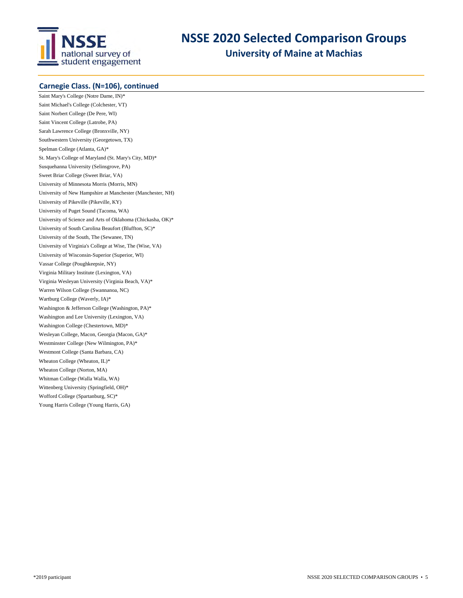

**University of Maine at Machias**

## **Carnegie Class. (N=106), continued**

Saint Mary's College (Notre Dame, IN)\* Saint Michael's College (Colchester, VT) Saint Norbert College (De Pere, WI) Saint Vincent College (Latrobe, PA) Sarah Lawrence College (Bronxville, NY) Southwestern University (Georgetown, TX) Spelman College (Atlanta, GA)\* St. Mary's College of Maryland (St. Mary's City, MD)\* Susquehanna University (Selinsgrove, PA) Sweet Briar College (Sweet Briar, VA) University of Minnesota Morris (Morris, MN) University of New Hampshire at Manchester (Manchester, NH) University of Pikeville (Pikeville, KY) University of Puget Sound (Tacoma, WA) University of Science and Arts of Oklahoma (Chickasha, OK)\* University of South Carolina Beaufort (Bluffton, SC)\* University of the South, The (Sewanee, TN) University of Virginia's College at Wise, The (Wise, VA) University of Wisconsin-Superior (Superior, WI) Vassar College (Poughkeepsie, NY) Virginia Military Institute (Lexington, VA) Virginia Wesleyan University (Virginia Beach, VA)\* Warren Wilson College (Swannanoa, NC) Wartburg College (Waverly, IA)\* Washington & Jefferson College (Washington, PA)\* Washington and Lee University (Lexington, VA) Washington College (Chestertown, MD)\* Wesleyan College, Macon, Georgia (Macon, GA)\* Westminster College (New Wilmington, PA)\* Westmont College (Santa Barbara, CA) Wheaton College (Wheaton, IL)\* Wheaton College (Norton, MA) Whitman College (Walla Walla, WA) Wittenberg University (Springfield, OH)\* Wofford College (Spartanburg, SC)\* Young Harris College (Young Harris, GA)